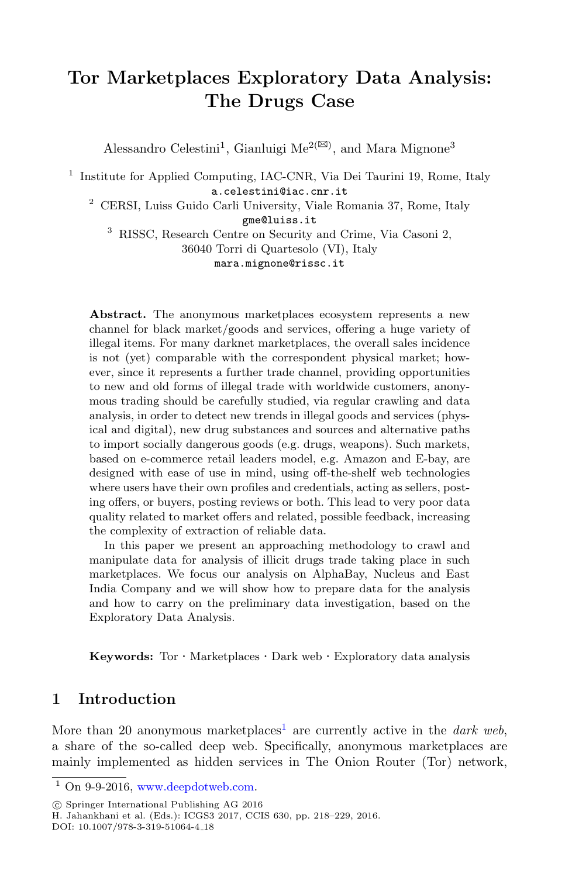# **Tor Marketplaces Exploratory Data Analysis: The Drugs Case**

Alessandro Celestini<sup>1</sup>, Gianluigi Me<sup>2( $\boxtimes$ )</sup>, and Mara Mignone<sup>3</sup>

<sup>1</sup> Institute for Applied Computing, IAC-CNR, Via Dei Taurini 19, Rome, Italy a.celestini@iac.cnr.it <sup>2</sup> CERSI, Luiss Guido Carli University, Viale Romania 37, Rome, Italy

gme@luiss.it<br><sup>3</sup> RISSC, Research Centre on Security and Crime, Via Casoni 2, 36040 Torri di Quartesolo (VI), Italy mara.mignone@rissc.it

**Abstract.** The anonymous marketplaces ecosystem represents a new channel for black market/goods and services, offering a huge variety of illegal items. For many darknet marketplaces, the overall sales incidence is not (yet) comparable with the correspondent physical market; however, since it represents a further trade channel, providing opportunities to new and old forms of illegal trade with worldwide customers, anonymous trading should be carefully studied, via regular crawling and data analysis, in order to detect new trends in illegal goods and services (physical and digital), new drug substances and sources and alternative paths to import socially dangerous goods (e.g. drugs, weapons). Such markets, based on e-commerce retail leaders model, e.g. Amazon and E-bay, are designed with ease of use in mind, using off-the-shelf web technologies where users have their own profiles and credentials, acting as sellers, posting offers, or buyers, posting reviews or both. This lead to very poor data quality related to market offers and related, possible feedback, increasing the complexity of extraction of reliable data.

In this paper we present an approaching methodology to crawl and manipulate data for analysis of illicit drugs trade taking place in such marketplaces. We focus our analysis on AlphaBay, Nucleus and East India Company and we will show how to prepare data for the analysis and how to carry on the preliminary data investigation, based on the Exploratory Data Analysis.

**Keywords:** Tor *·* Marketplaces *·* Dark web *·* Exploratory data analysis

## **1 Introduction**

More than 20 anonymous marketplaces<sup>[1](#page-0-0)</sup> are currently active in the *dark web*, a share of the so-called deep web. Specifically, anonymous marketplaces are mainly implemented as hidden services in The Onion Router (Tor) network,

<span id="page-0-0"></span> $\overline{1}$  On 9-9-2016, [www.deepdotweb.com.](www.deepdotweb.com)

<sup>-</sup>c Springer International Publishing AG 2016

H. Jahankhani et al. (Eds.): ICGS3 2017, CCIS 630, pp. 218–229, 2016.

DOI: 10.1007/978-3-319-51064-4 18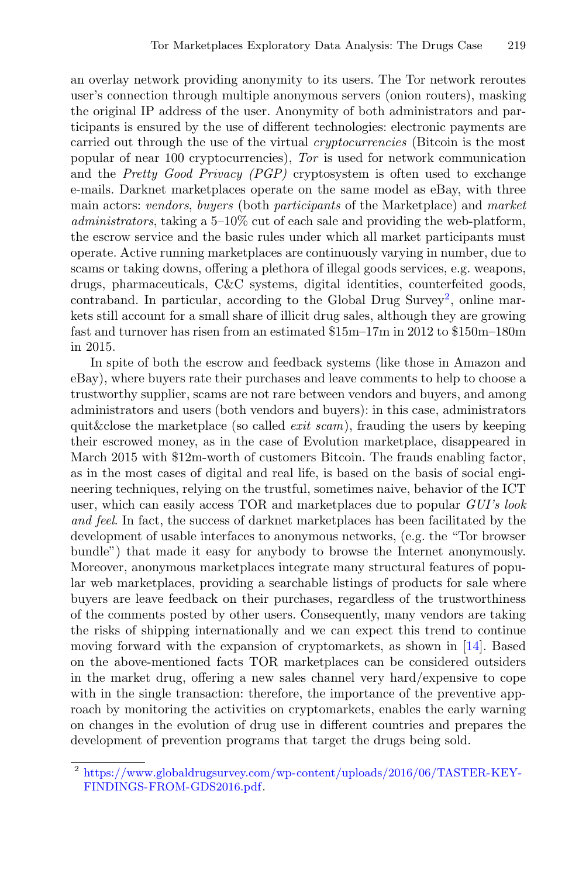an overlay network providing anonymity to its users. The Tor network reroutes user's connection through multiple anonymous servers (onion routers), masking the original IP address of the user. Anonymity of both administrators and participants is ensured by the use of different technologies: electronic payments are carried out through the use of the virtual *cryptocurrencies* (Bitcoin is the most popular of near 100 cryptocurrencies), *Tor* is used for network communication and the *Pretty Good Privacy (PGP)* cryptosystem is often used to exchange e-mails. Darknet marketplaces operate on the same model as eBay, with three main actors: *vendors*, *buyers* (both *participants* of the Marketplace) and *market administrators*, taking a 5–10% cut of each sale and providing the web-platform, the escrow service and the basic rules under which all market participants must operate. Active running marketplaces are continuously varying in number, due to scams or taking downs, offering a plethora of illegal goods services, e.g. weapons, drugs, pharmaceuticals, C&C systems, digital identities, counterfeited goods, contraband. In particular, according to the Global Drug Survey<sup>[2](#page-1-0)</sup>, online markets still account for a small share of illicit drug sales, although they are growing fast and turnover has risen from an estimated \$15m–17m in 2012 to \$150m–180m in 2015.

In spite of both the escrow and feedback systems (like those in Amazon and eBay), where buyers rate their purchases and leave comments to help to choose a trustworthy supplier, scams are not rare between vendors and buyers, and among administrators and users (both vendors and buyers): in this case, administrators quit&close the marketplace (so called *exit scam*), frauding the users by keeping their escrowed money, as in the case of Evolution marketplace, disappeared in March 2015 with \$12m-worth of customers Bitcoin. The frauds enabling factor, as in the most cases of digital and real life, is based on the basis of social engineering techniques, relying on the trustful, sometimes naive, behavior of the ICT user, which can easily access TOR and marketplaces due to popular *GUI's look and feel*. In fact, the success of darknet marketplaces has been facilitated by the development of usable interfaces to anonymous networks, (e.g. the "Tor browser bundle") that made it easy for anybody to browse the Internet anonymously. Moreover, anonymous marketplaces integrate many structural features of popular web marketplaces, providing a searchable listings of products for sale where buyers are leave feedback on their purchases, regardless of the trustworthiness of the comments posted by other users. Consequently, many vendors are taking the risks of shipping internationally and we can expect this trend to continue moving forward with the expansion of cryptomarkets, as shown in [\[14\]](#page-11-0). Based on the above-mentioned facts TOR marketplaces can be considered outsiders in the market drug, offering a new sales channel very hard/expensive to cope with in the single transaction: therefore, the importance of the preventive approach by monitoring the activities on cryptomarkets, enables the early warning on changes in the evolution of drug use in different countries and prepares the development of prevention programs that target the drugs being sold.

<span id="page-1-0"></span><sup>2</sup> [https://www.globaldrugsurvey.com/wp-content/uploads/2016/06/TASTER-KEY-](https://www.globaldrugsurvey.com/wp-content/uploads/2016/06/TASTER-KEY-FINDINGS-FROM-GDS2016.pdf)[FINDINGS-FROM-GDS2016.pdf.](https://www.globaldrugsurvey.com/wp-content/uploads/2016/06/TASTER-KEY-FINDINGS-FROM-GDS2016.pdf)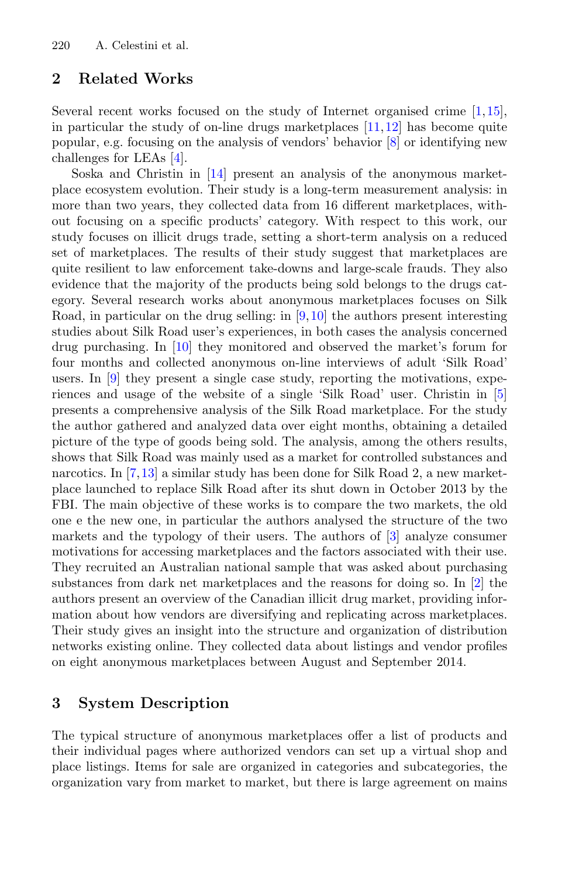## **2 Related Works**

Several recent works focused on the study of Internet organised crime [\[1,](#page-10-0)[15\]](#page-11-1), in particular the study of on-line drugs marketplaces [\[11,](#page-11-2)[12\]](#page-11-3) has become quite popular, e.g. focusing on the analysis of vendors' behavior [\[8](#page-10-1)] or identifying new challenges for LEAs [\[4\]](#page-10-2).

Soska and Christin in [\[14\]](#page-11-0) present an analysis of the anonymous marketplace ecosystem evolution. Their study is a long-term measurement analysis: in more than two years, they collected data from 16 different marketplaces, without focusing on a specific products' category. With respect to this work, our study focuses on illicit drugs trade, setting a short-term analysis on a reduced set of marketplaces. The results of their study suggest that marketplaces are quite resilient to law enforcement take-downs and large-scale frauds. They also evidence that the majority of the products being sold belongs to the drugs category. Several research works about anonymous marketplaces focuses on Silk Road, in particular on the drug selling: in  $[9,10]$  $[9,10]$  $[9,10]$  the authors present interesting studies about Silk Road user's experiences, in both cases the analysis concerned drug purchasing. In [\[10](#page-11-4)] they monitored and observed the market's forum for four months and collected anonymous on-line interviews of adult 'Silk Road' users. In  $[9]$  they present a single case study, reporting the motivations, experiences and usage of the website of a single 'Silk Road' user. Christin in [\[5](#page-10-4)] presents a comprehensive analysis of the Silk Road marketplace. For the study the author gathered and analyzed data over eight months, obtaining a detailed picture of the type of goods being sold. The analysis, among the others results, shows that Silk Road was mainly used as a market for controlled substances and narcotics. In [\[7,](#page-10-5)[13](#page-11-5)] a similar study has been done for Silk Road 2, a new marketplace launched to replace Silk Road after its shut down in October 2013 by the FBI. The main objective of these works is to compare the two markets, the old one e the new one, in particular the authors analysed the structure of the two markets and the typology of their users. The authors of [\[3\]](#page-10-6) analyze consumer motivations for accessing marketplaces and the factors associated with their use. They recruited an Australian national sample that was asked about purchasing substances from dark net marketplaces and the reasons for doing so. In [\[2](#page-10-7)] the authors present an overview of the Canadian illicit drug market, providing information about how vendors are diversifying and replicating across marketplaces. Their study gives an insight into the structure and organization of distribution networks existing online. They collected data about listings and vendor profiles on eight anonymous marketplaces between August and September 2014.

### **3 System Description**

The typical structure of anonymous marketplaces offer a list of products and their individual pages where authorized vendors can set up a virtual shop and place listings. Items for sale are organized in categories and subcategories, the organization vary from market to market, but there is large agreement on mains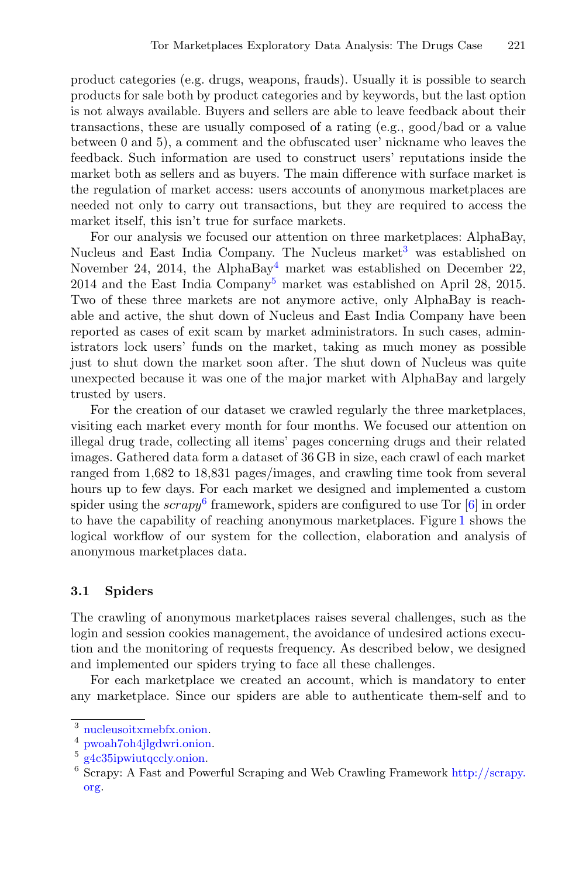product categories (e.g. drugs, weapons, frauds). Usually it is possible to search products for sale both by product categories and by keywords, but the last option is not always available. Buyers and sellers are able to leave feedback about their transactions, these are usually composed of a rating (e.g., good/bad or a value between 0 and 5), a comment and the obfuscated user' nickname who leaves the feedback. Such information are used to construct users' reputations inside the market both as sellers and as buyers. The main difference with surface market is the regulation of market access: users accounts of anonymous marketplaces are needed not only to carry out transactions, but they are required to access the market itself, this isn't true for surface markets.

For our analysis we focused our attention on three marketplaces: AlphaBay, Nucleus and East India Company. The Nucleus market<sup>[3](#page-3-0)</sup> was established on November 2[4](#page-3-1), 2014, the AlphaBay<sup>4</sup> market was established on December 22,  $2014$  and the East India Company<sup>[5](#page-3-2)</sup> market was established on April 28, 2015. Two of these three markets are not anymore active, only AlphaBay is reachable and active, the shut down of Nucleus and East India Company have been reported as cases of exit scam by market administrators. In such cases, administrators lock users' funds on the market, taking as much money as possible just to shut down the market soon after. The shut down of Nucleus was quite unexpected because it was one of the major market with AlphaBay and largely trusted by users.

For the creation of our dataset we crawled regularly the three marketplaces, visiting each market every month for four months. We focused our attention on illegal drug trade, collecting all items' pages concerning drugs and their related images. Gathered data form a dataset of 36 GB in size, each crawl of each market ranged from 1,682 to 18,831 pages/images, and crawling time took from several hours up to few days. For each market we designed and implemented a custom spider using the *scrapy*[6](#page-3-3) framework, spiders are configured to use Tor [\[6](#page-10-8)] in order to have the capability of reaching anonymous marketplaces. Figure [1](#page-4-0) shows the logical workflow of our system for the collection, elaboration and analysis of anonymous marketplaces data.

#### **3.1 Spiders**

The crawling of anonymous marketplaces raises several challenges, such as the login and session cookies management, the avoidance of undesired actions execution and the monitoring of requests frequency. As described below, we designed and implemented our spiders trying to face all these challenges.

For each marketplace we created an account, which is mandatory to enter any marketplace. Since our spiders are able to authenticate them-self and to

<span id="page-3-1"></span><span id="page-3-0"></span><sup>3</sup> [nucleusoitxmebfx.onion.](http://www.nucleusoitxmebfx.onion/)

<sup>4</sup> [pwoah7oh4jlgdwri.onion.](http://www.pwoah7oh4jlgdwri.onion/)

<span id="page-3-2"></span><sup>&</sup>lt;sup>5</sup> [g4c35ipwiutqccly.onion.](http://www.g4c35ipwiutqccly.onion/)

<span id="page-3-3"></span><sup>6</sup> Scrapy: A Fast and Powerful Scraping and Web Crawling Framework [http://scrapy.](http://scrapy.org) [org.](http://scrapy.org)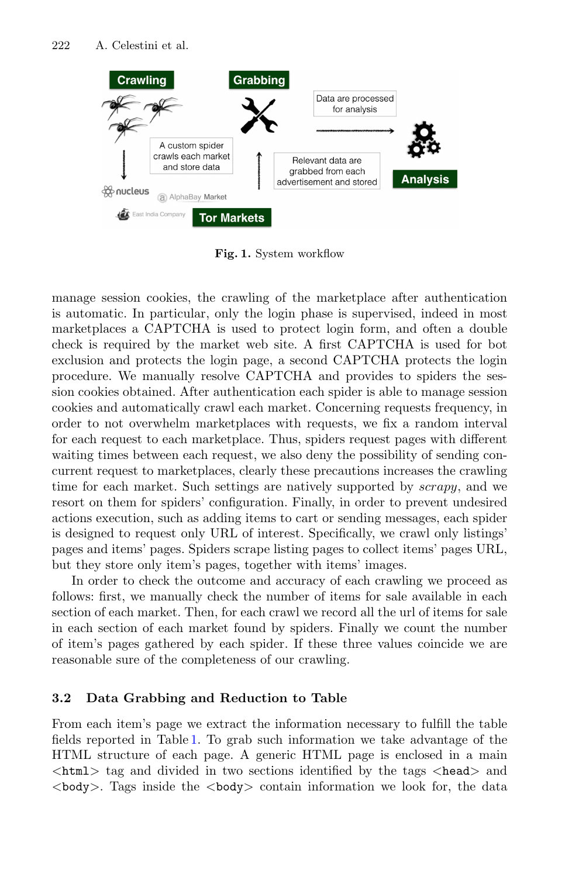

<span id="page-4-0"></span>**Fig. 1.** System workflow

manage session cookies, the crawling of the marketplace after authentication is automatic. In particular, only the login phase is supervised, indeed in most marketplaces a CAPTCHA is used to protect login form, and often a double check is required by the market web site. A first CAPTCHA is used for bot exclusion and protects the login page, a second CAPTCHA protects the login procedure. We manually resolve CAPTCHA and provides to spiders the session cookies obtained. After authentication each spider is able to manage session cookies and automatically crawl each market. Concerning requests frequency, in order to not overwhelm marketplaces with requests, we fix a random interval for each request to each marketplace. Thus, spiders request pages with different waiting times between each request, we also deny the possibility of sending concurrent request to marketplaces, clearly these precautions increases the crawling time for each market. Such settings are natively supported by *scrapy*, and we resort on them for spiders' configuration. Finally, in order to prevent undesired actions execution, such as adding items to cart or sending messages, each spider is designed to request only URL of interest. Specifically, we crawl only listings' pages and items' pages. Spiders scrape listing pages to collect items' pages URL, but they store only item's pages, together with items' images.

In order to check the outcome and accuracy of each crawling we proceed as follows: first, we manually check the number of items for sale available in each section of each market. Then, for each crawl we record all the url of items for sale in each section of each market found by spiders. Finally we count the number of item's pages gathered by each spider. If these three values coincide we are reasonable sure of the completeness of our crawling.

#### **3.2 Data Grabbing and Reduction to Table**

From each item's page we extract the information necessary to fulfill the table fields reported in Table [1.](#page-5-0) To grab such information we take advantage of the HTML structure of each page. A generic HTML page is enclosed in a main *<*html*>* tag and divided in two sections identified by the tags *<*head*>* and *<*body*>*. Tags inside the *<*body*>* contain information we look for, the data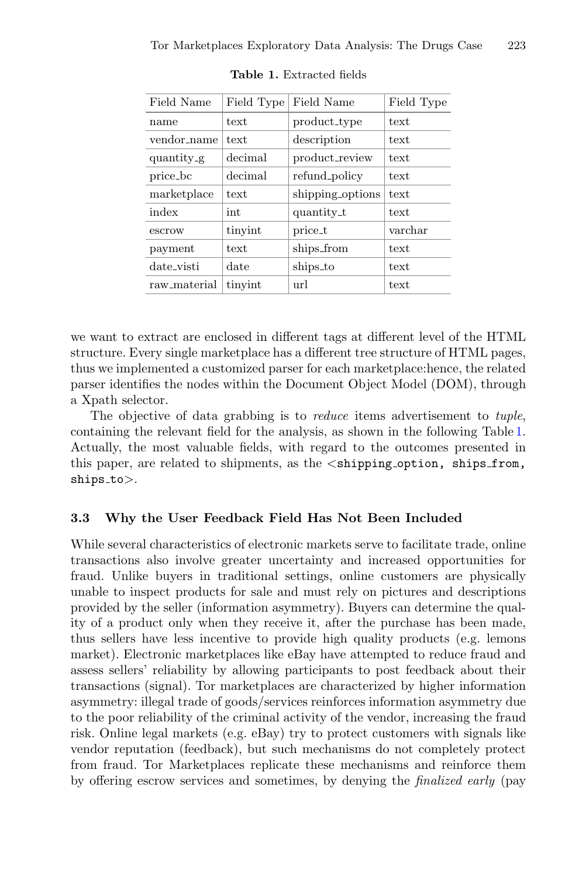| Field Name   | Field Type | Field Name       | Field Type |
|--------------|------------|------------------|------------|
| name         | text       | product_type     | text       |
| vendor_name  | text       | description      | text       |
| quantity_g   | decimal    | product_review   | text       |
| price_bc     | decimal    | refund_policy    | text       |
| marketplace  | text.      | shipping options | text       |
| index        | int        | quantity_t       | text       |
| escrow       | tinyint    | price_t          | varchar    |
| payment      | text       | ships_from       | text       |
| date visti   | date       | ships_to         | text       |
| raw_material | tinvint    | url              | text       |

<span id="page-5-0"></span>**Table 1.** Extracted fields

we want to extract are enclosed in different tags at different level of the HTML structure. Every single marketplace has a different tree structure of HTML pages, thus we implemented a customized parser for each marketplace:hence, the related parser identifies the nodes within the Document Object Model (DOM), through a Xpath selector.

The objective of data grabbing is to *reduce* items advertisement to *tuple*, containing the relevant field for the analysis, as shown in the following Table [1.](#page-5-0) Actually, the most valuable fields, with regard to the outcomes presented in this paper, are related to shipments, as the *<*shipping option, ships from, ships\_to>.

#### **3.3 Why the User Feedback Field Has Not Been Included**

While several characteristics of electronic markets serve to facilitate trade, online transactions also involve greater uncertainty and increased opportunities for fraud. Unlike buyers in traditional settings, online customers are physically unable to inspect products for sale and must rely on pictures and descriptions provided by the seller (information asymmetry). Buyers can determine the quality of a product only when they receive it, after the purchase has been made, thus sellers have less incentive to provide high quality products (e.g. lemons market). Electronic marketplaces like eBay have attempted to reduce fraud and assess sellers' reliability by allowing participants to post feedback about their transactions (signal). Tor marketplaces are characterized by higher information asymmetry: illegal trade of goods/services reinforces information asymmetry due to the poor reliability of the criminal activity of the vendor, increasing the fraud risk. Online legal markets (e.g. eBay) try to protect customers with signals like vendor reputation (feedback), but such mechanisms do not completely protect from fraud. Tor Marketplaces replicate these mechanisms and reinforce them by offering escrow services and sometimes, by denying the *finalized early* (pay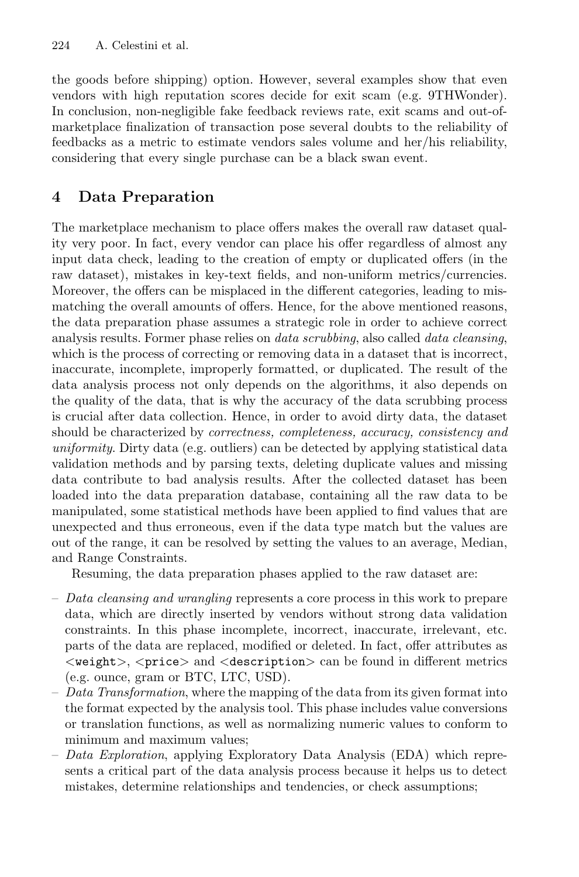the goods before shipping) option. However, several examples show that even vendors with high reputation scores decide for exit scam (e.g. 9THWonder). In conclusion, non-negligible fake feedback reviews rate, exit scams and out-ofmarketplace finalization of transaction pose several doubts to the reliability of feedbacks as a metric to estimate vendors sales volume and her/his reliability, considering that every single purchase can be a black swan event.

## <span id="page-6-0"></span>**4 Data Preparation**

The marketplace mechanism to place offers makes the overall raw dataset quality very poor. In fact, every vendor can place his offer regardless of almost any input data check, leading to the creation of empty or duplicated offers (in the raw dataset), mistakes in key-text fields, and non-uniform metrics/currencies. Moreover, the offers can be misplaced in the different categories, leading to mismatching the overall amounts of offers. Hence, for the above mentioned reasons, the data preparation phase assumes a strategic role in order to achieve correct analysis results. Former phase relies on *data scrubbing*, also called *data cleansing*, which is the process of correcting or removing data in a dataset that is incorrect, inaccurate, incomplete, improperly formatted, or duplicated. The result of the data analysis process not only depends on the algorithms, it also depends on the quality of the data, that is why the accuracy of the data scrubbing process is crucial after data collection. Hence, in order to avoid dirty data, the dataset should be characterized by *correctness, completeness, accuracy, consistency and uniformity*. Dirty data (e.g. outliers) can be detected by applying statistical data validation methods and by parsing texts, deleting duplicate values and missing data contribute to bad analysis results. After the collected dataset has been loaded into the data preparation database, containing all the raw data to be manipulated, some statistical methods have been applied to find values that are unexpected and thus erroneous, even if the data type match but the values are out of the range, it can be resolved by setting the values to an average, Median, and Range Constraints.

Resuming, the data preparation phases applied to the raw dataset are:

- *Data cleansing and wrangling* represents a core process in this work to prepare data, which are directly inserted by vendors without strong data validation constraints. In this phase incomplete, incorrect, inaccurate, irrelevant, etc. parts of the data are replaced, modified or deleted. In fact, offer attributes as *<*weight*>*, *<*price*>* and *<*description*>* can be found in different metrics (e.g. ounce, gram or BTC, LTC, USD).
- *Data Transformation*, where the mapping of the data from its given format into the format expected by the analysis tool. This phase includes value conversions or translation functions, as well as normalizing numeric values to conform to minimum and maximum values;
- *Data Exploration*, applying Exploratory Data Analysis (EDA) which represents a critical part of the data analysis process because it helps us to detect mistakes, determine relationships and tendencies, or check assumptions;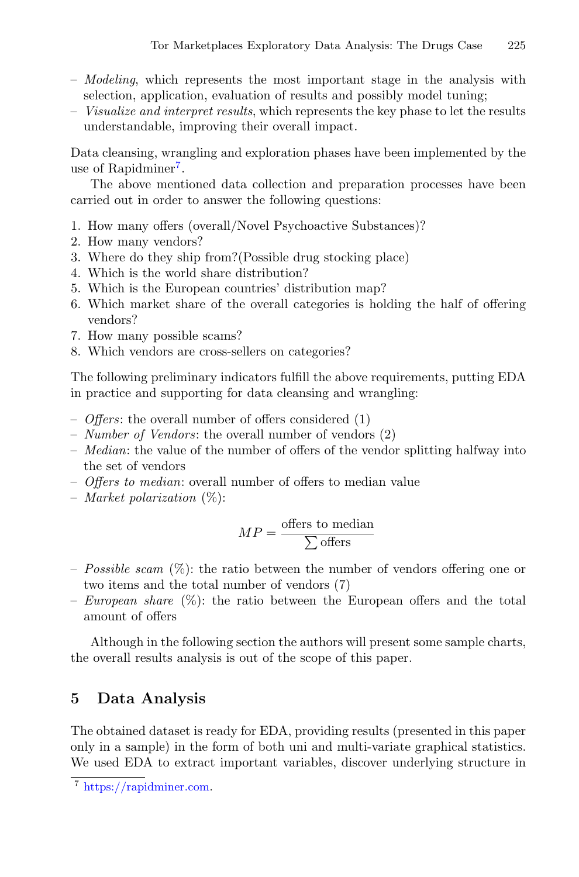- *Modeling*, which represents the most important stage in the analysis with selection, application, evaluation of results and possibly model tuning;
- *Visualize and interpret results*, which represents the key phase to let the results understandable, improving their overall impact.

Data cleansing, wrangling and exploration phases have been implemented by the use of Rapidminer<sup>[7](#page-7-0)</sup>.

The above mentioned data collection and preparation processes have been carried out in order to answer the following questions:

- 1. How many offers (overall/Novel Psychoactive Substances)?
- 2. How many vendors?
- 3. Where do they ship from?(Possible drug stocking place)
- 4. Which is the world share distribution?
- 5. Which is the European countries' distribution map?
- 6. Which market share of the overall categories is holding the half of offering vendors?
- 7. How many possible scams?
- 8. Which vendors are cross-sellers on categories?

The following preliminary indicators fulfill the above requirements, putting EDA in practice and supporting for data cleansing and wrangling:

- *Offers*: the overall number of offers considered (1)
- *Number of Vendors*: the overall number of vendors (2)
- *Median*: the value of the number of offers of the vendor splitting halfway into the set of vendors
- *Offers to median*: overall number of offers to median value
- *Market polarization* (%):

$$
MP = \frac{\text{offsets to median}}{\sum \text{offsets}}
$$

- *Possible scam* (%): the ratio between the number of vendors offering one or two items and the total number of vendors (7)
- *European share* (%): the ratio between the European offers and the total amount of offers

Although in the following section the authors will present some sample charts, the overall results analysis is out of the scope of this paper.

## **5 Data Analysis**

The obtained dataset is ready for EDA, providing results (presented in this paper only in a sample) in the form of both uni and multi-variate graphical statistics. We used EDA to extract important variables, discover underlying structure in

<span id="page-7-0"></span><sup>7</sup> [https://rapidminer.com.](https://rapidminer.com)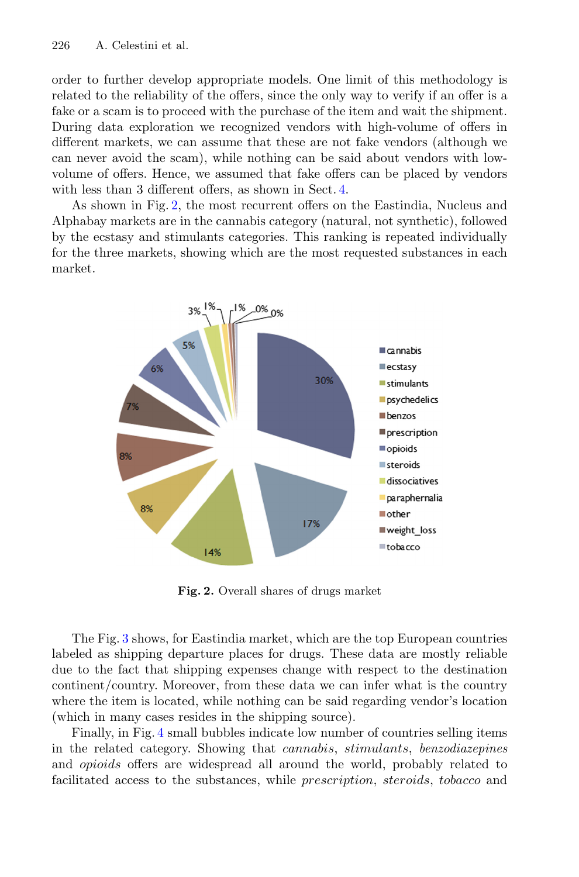order to further develop appropriate models. One limit of this methodology is related to the reliability of the offers, since the only way to verify if an offer is a fake or a scam is to proceed with the purchase of the item and wait the shipment. During data exploration we recognized vendors with high-volume of offers in different markets, we can assume that these are not fake vendors (although we can never avoid the scam), while nothing can be said about vendors with lowvolume of offers. Hence, we assumed that fake offers can be placed by vendors with less than 3 different offers, as shown in Sect. [4.](#page-6-0)

As shown in Fig. [2,](#page-8-0) the most recurrent offers on the Eastindia, Nucleus and Alphabay markets are in the cannabis category (natural, not synthetic), followed by the ecstasy and stimulants categories. This ranking is repeated individually for the three markets, showing which are the most requested substances in each market.



<span id="page-8-0"></span>**Fig. 2.** Overall shares of drugs market

The Fig. [3](#page-9-0) shows, for Eastindia market, which are the top European countries labeled as shipping departure places for drugs. These data are mostly reliable due to the fact that shipping expenses change with respect to the destination continent/country. Moreover, from these data we can infer what is the country where the item is located, while nothing can be said regarding vendor's location (which in many cases resides in the shipping source).

Finally, in Fig. [4](#page-9-1) small bubbles indicate low number of countries selling items in the related category. Showing that *cannabis*, *stimulants*, *benzodiazepines* and *opioids* offers are widespread all around the world, probably related to facilitated access to the substances, while *prescription*, *steroids*, *tobacco* and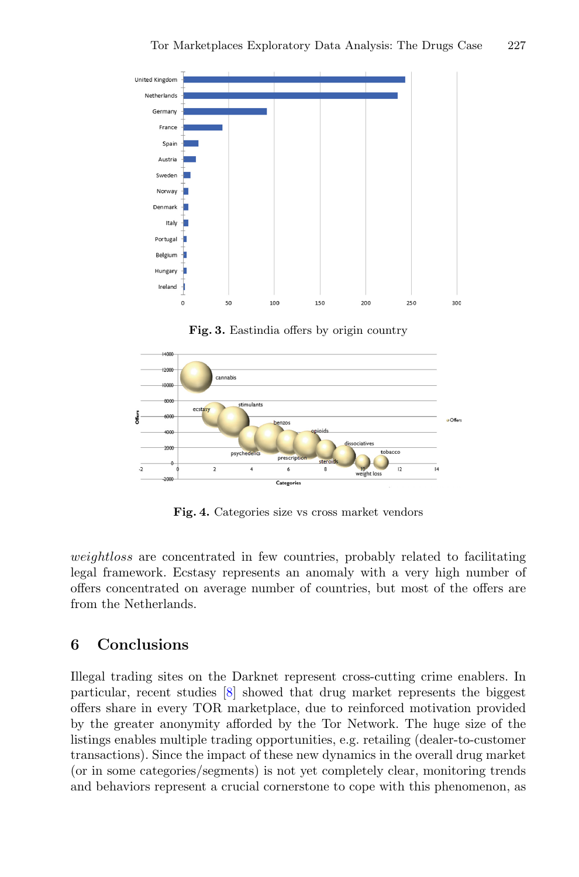

**Fig. 3.** Eastindia offers by origin country

<span id="page-9-0"></span>

<span id="page-9-1"></span>**Fig. 4.** Categories size vs cross market vendors

*weightloss* are concentrated in few countries, probably related to facilitating legal framework. Ecstasy represents an anomaly with a very high number of offers concentrated on average number of countries, but most of the offers are from the Netherlands.

### **6 Conclusions**

Illegal trading sites on the Darknet represent cross-cutting crime enablers. In particular, recent studies [\[8\]](#page-10-1) showed that drug market represents the biggest offers share in every TOR marketplace, due to reinforced motivation provided by the greater anonymity afforded by the Tor Network. The huge size of the listings enables multiple trading opportunities, e.g. retailing (dealer-to-customer transactions). Since the impact of these new dynamics in the overall drug market (or in some categories/segments) is not yet completely clear, monitoring trends and behaviors represent a crucial cornerstone to cope with this phenomenon, as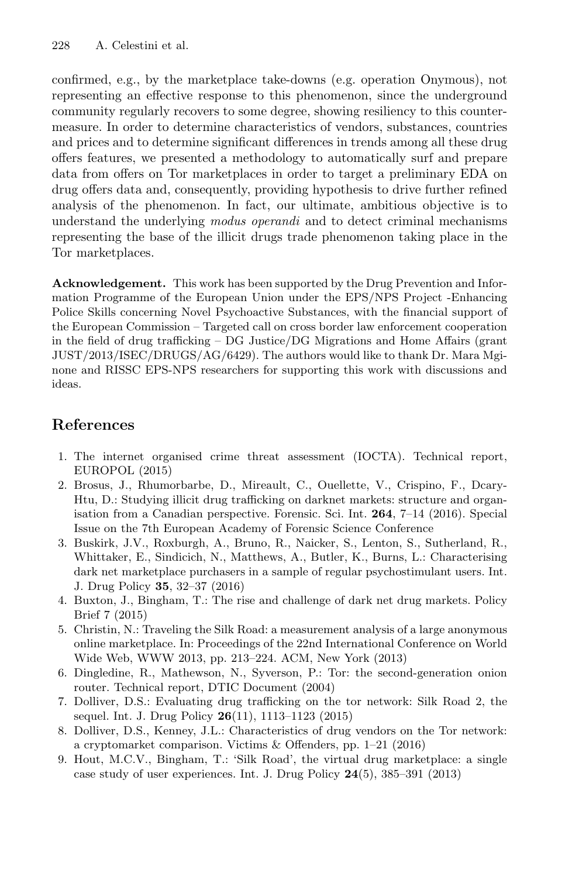confirmed, e.g., by the marketplace take-downs (e.g. operation Onymous), not representing an effective response to this phenomenon, since the underground community regularly recovers to some degree, showing resiliency to this countermeasure. In order to determine characteristics of vendors, substances, countries and prices and to determine significant differences in trends among all these drug offers features, we presented a methodology to automatically surf and prepare data from offers on Tor marketplaces in order to target a preliminary EDA on drug offers data and, consequently, providing hypothesis to drive further refined analysis of the phenomenon. In fact, our ultimate, ambitious objective is to understand the underlying *modus operandi* and to detect criminal mechanisms representing the base of the illicit drugs trade phenomenon taking place in the Tor marketplaces.

**Acknowledgement.** This work has been supported by the Drug Prevention and Information Programme of the European Union under the EPS/NPS Project -Enhancing Police Skills concerning Novel Psychoactive Substances, with the financial support of the European Commission – Targeted call on cross border law enforcement cooperation in the field of drug trafficking – DG Justice/DG Migrations and Home Affairs (grant JUST/2013/ISEC/DRUGS/AG/6429). The authors would like to thank Dr. Mara Mginone and RISSC EPS-NPS researchers for supporting this work with discussions and ideas.

## **References**

- <span id="page-10-0"></span>1. The internet organised crime threat assessment (IOCTA). Technical report, EUROPOL (2015)
- <span id="page-10-7"></span>2. Brosus, J., Rhumorbarbe, D., Mireault, C., Ouellette, V., Crispino, F., Dcary-Htu, D.: Studying illicit drug trafficking on darknet markets: structure and organisation from a Canadian perspective. Forensic. Sci. Int. **264**, 7–14 (2016). Special Issue on the 7th European Academy of Forensic Science Conference
- <span id="page-10-6"></span>3. Buskirk, J.V., Roxburgh, A., Bruno, R., Naicker, S., Lenton, S., Sutherland, R., Whittaker, E., Sindicich, N., Matthews, A., Butler, K., Burns, L.: Characterising dark net marketplace purchasers in a sample of regular psychostimulant users. Int. J. Drug Policy **35**, 32–37 (2016)
- <span id="page-10-2"></span>4. Buxton, J., Bingham, T.: The rise and challenge of dark net drug markets. Policy Brief 7 (2015)
- <span id="page-10-4"></span>5. Christin, N.: Traveling the Silk Road: a measurement analysis of a large anonymous online marketplace. In: Proceedings of the 22nd International Conference on World Wide Web, WWW 2013, pp. 213–224. ACM, New York (2013)
- <span id="page-10-8"></span>6. Dingledine, R., Mathewson, N., Syverson, P.: Tor: the second-generation onion router. Technical report, DTIC Document (2004)
- <span id="page-10-5"></span>7. Dolliver, D.S.: Evaluating drug trafficking on the tor network: Silk Road 2, the sequel. Int. J. Drug Policy **26**(11), 1113–1123 (2015)
- <span id="page-10-1"></span>8. Dolliver, D.S., Kenney, J.L.: Characteristics of drug vendors on the Tor network: a cryptomarket comparison. Victims & Offenders, pp. 1–21 (2016)
- <span id="page-10-3"></span>9. Hout, M.C.V., Bingham, T.: 'Silk Road', the virtual drug marketplace: a single case study of user experiences. Int. J. Drug Policy **24**(5), 385–391 (2013)